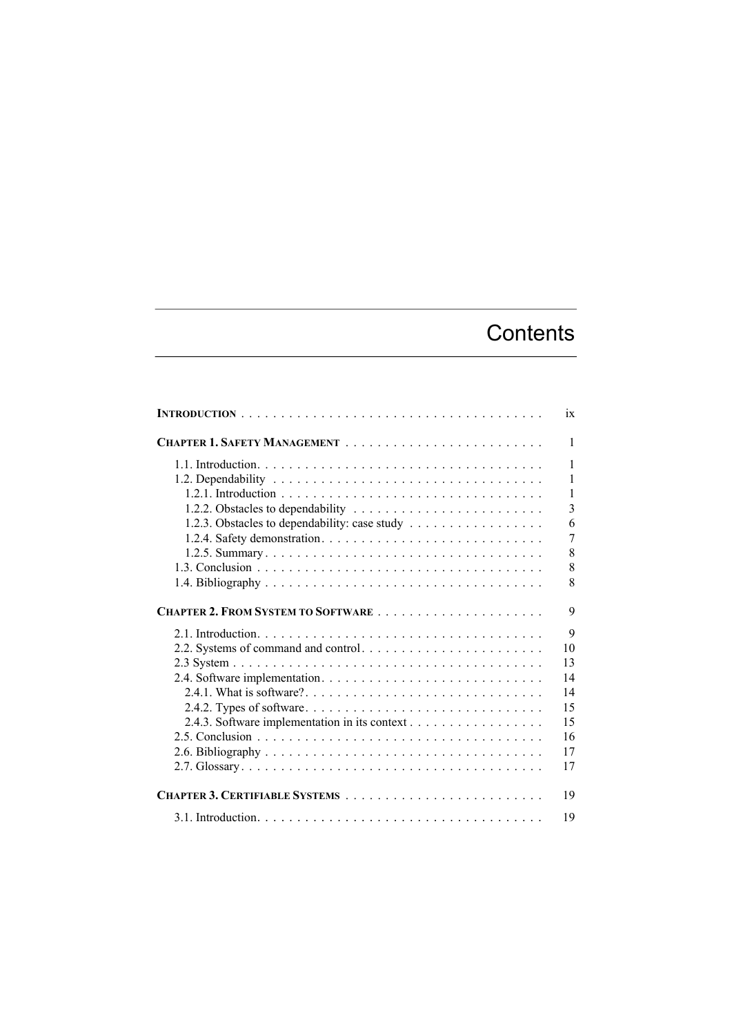## **Contents**

|                                               | ix             |
|-----------------------------------------------|----------------|
|                                               | $\mathbf{1}$   |
|                                               | $\mathbf{1}$   |
|                                               | $\mathbf{1}$   |
|                                               | $\mathbf{1}$   |
|                                               | $\overline{3}$ |
| 1.2.3. Obstacles to dependability: case study | 6              |
|                                               | $\overline{7}$ |
|                                               | 8              |
|                                               | 8              |
|                                               | 8              |
|                                               | 9              |
|                                               | 9              |
|                                               | 10             |
|                                               | 13             |
|                                               | 14             |
|                                               | 14             |
|                                               | 15             |
| 2.4.3. Software implementation in its context | 15             |
|                                               | 16             |
|                                               | 17             |
|                                               | 17             |
|                                               | 19             |
|                                               | 19             |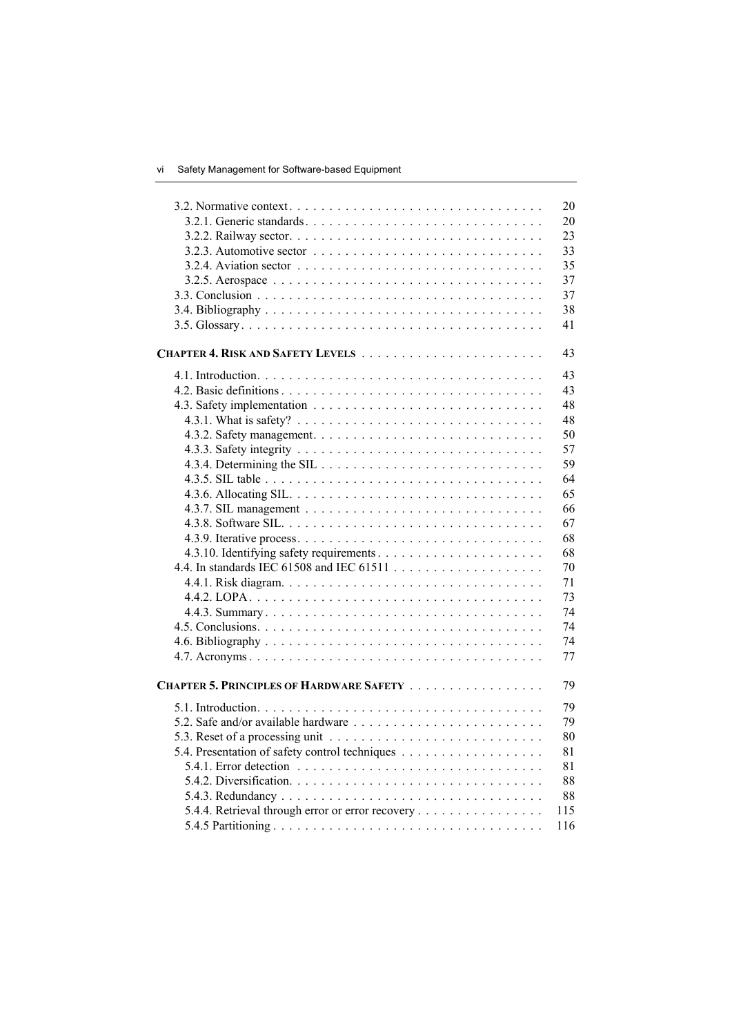|                                                                                                  | 20  |
|--------------------------------------------------------------------------------------------------|-----|
|                                                                                                  | 20  |
|                                                                                                  | 23  |
| 3.2.3. Automotive sector $\ldots \ldots \ldots \ldots \ldots \ldots \ldots \ldots \ldots \ldots$ | 33  |
|                                                                                                  | 35  |
|                                                                                                  | 37  |
|                                                                                                  | 37  |
|                                                                                                  | 38  |
|                                                                                                  | 41  |
|                                                                                                  |     |
|                                                                                                  | 43  |
|                                                                                                  | 43  |
|                                                                                                  | 43  |
|                                                                                                  | 48  |
|                                                                                                  | 48  |
|                                                                                                  | 50  |
|                                                                                                  | 57  |
|                                                                                                  | 59  |
|                                                                                                  | 64  |
|                                                                                                  | 65  |
|                                                                                                  | 66  |
|                                                                                                  | 67  |
|                                                                                                  | 68  |
|                                                                                                  | 68  |
|                                                                                                  | 70  |
|                                                                                                  | 71  |
|                                                                                                  | 73  |
|                                                                                                  | 74  |
|                                                                                                  | 74  |
|                                                                                                  | 74  |
|                                                                                                  | 77  |
|                                                                                                  |     |
| <b>CHAPTER 5. PRINCIPLES OF HARDWARE SAFETY</b>                                                  | 79  |
|                                                                                                  | 79  |
|                                                                                                  | 79  |
|                                                                                                  | 80  |
|                                                                                                  | 81  |
|                                                                                                  | 81  |
|                                                                                                  | 88  |
|                                                                                                  | 88  |
| 5.4.4. Retrieval through error or error recovery                                                 | 115 |
|                                                                                                  | 116 |
|                                                                                                  |     |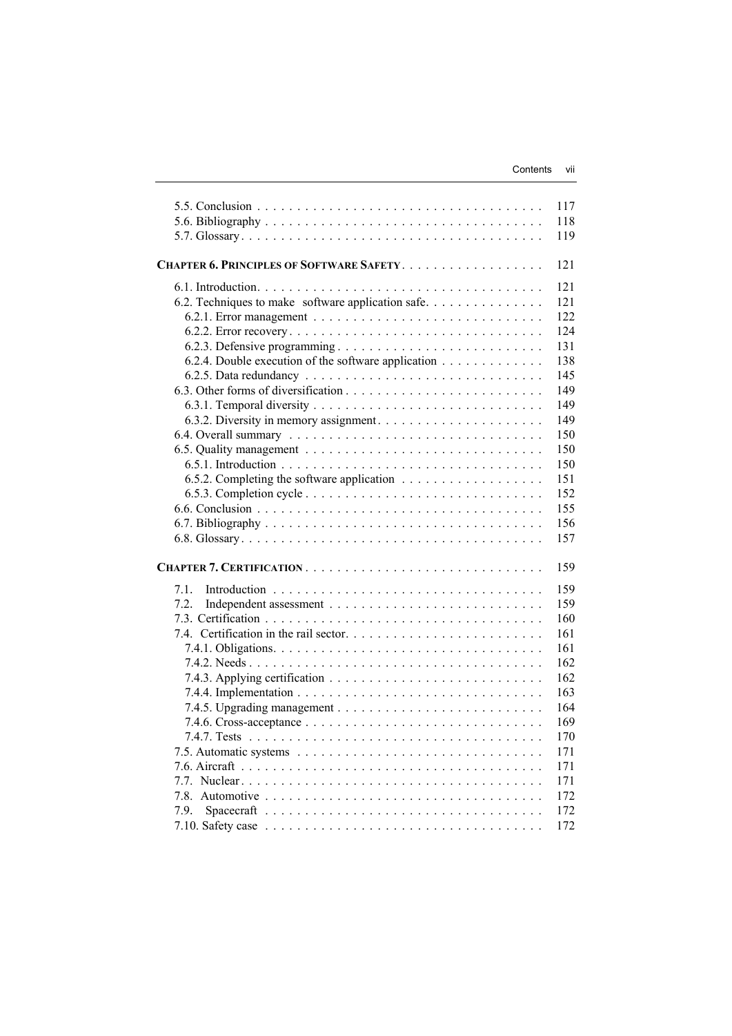|                                                     | 117 |
|-----------------------------------------------------|-----|
|                                                     | 118 |
|                                                     | 119 |
| CHAPTER 6. PRINCIPLES OF SOFTWARE SAFETY.           | 121 |
|                                                     |     |
|                                                     | 121 |
| 6.2. Techniques to make software application safe   | 121 |
|                                                     | 122 |
|                                                     | 124 |
|                                                     | 131 |
| 6.2.4. Double execution of the software application | 138 |
|                                                     | 145 |
|                                                     | 149 |
|                                                     | 149 |
|                                                     | 149 |
|                                                     | 150 |
|                                                     | 150 |
|                                                     | 150 |
|                                                     | 151 |
|                                                     | 152 |
|                                                     | 155 |
|                                                     | 156 |
|                                                     | 157 |
|                                                     |     |
|                                                     | 159 |
| 7.1.                                                | 159 |
| 7.2.                                                | 159 |
|                                                     | 160 |
|                                                     | 161 |
|                                                     | 161 |
|                                                     | 162 |
|                                                     | 162 |
|                                                     | 163 |
|                                                     | 164 |
|                                                     | 169 |
|                                                     | 170 |
|                                                     | 171 |
|                                                     | 171 |
|                                                     | 171 |
|                                                     | 172 |
| 7.9.                                                | 172 |
|                                                     | 172 |
|                                                     |     |